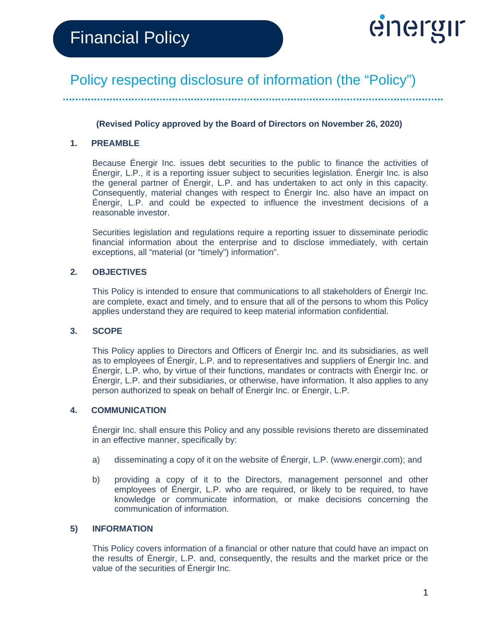

**(Revised Policy approved by the Board of Directors on November 26, 2020)**

#### **1. PREAMBLE**

Because Énergir Inc. issues debt securities to the public to finance the activities of Énergir, L.P., it is a reporting issuer subject to securities legislation. Énergir Inc. is also the general partner of Énergir, L.P. and has undertaken to act only in this capacity. Consequently, material changes with respect to Énergir Inc. also have an impact on Énergir, L.P. and could be expected to influence the investment decisions of a reasonable investor.

Securities legislation and regulations require a reporting issuer to disseminate periodic financial information about the enterprise and to disclose immediately, with certain exceptions, all "material (or "timely") information".

#### **2. OBJECTIVES**

This Policy is intended to ensure that communications to all stakeholders of Énergir Inc. are complete, exact and timely, and to ensure that all of the persons to whom this Policy applies understand they are required to keep material information confidential.

#### **3. SCOPE**

This Policy applies to Directors and Officers of Énergir Inc. and its subsidiaries, as well as to employees of Énergir, L.P. and to representatives and suppliers of Énergir Inc. and Énergir, L.P. who, by virtue of their functions, mandates or contracts with Énergir Inc. or Énergir, L.P. and their subsidiaries, or otherwise, have information. It also applies to any person authorized to speak on behalf of Énergir Inc. or Énergir, L.P.

#### **4. COMMUNICATION**

Énergir Inc. shall ensure this Policy and any possible revisions thereto are disseminated in an effective manner, specifically by:

- a) disseminating a copy of it on the website of Énergir, L.P. (www.energir.com); and
- b) providing a copy of it to the Directors, management personnel and other employees of Énergir, L.P. who are required, or likely to be required, to have knowledge or communicate information, or make decisions concerning the communication of information.

#### **5) INFORMATION**

This Policy covers information of a financial or other nature that could have an impact on the results of Énergir, L.P. and, consequently, the results and the market price or the value of the securities of Énergir Inc.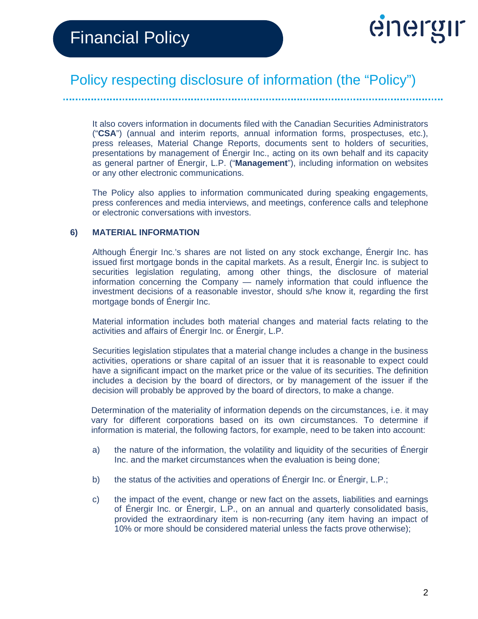

It also covers information in documents filed with the Canadian Securities Administrators ("**CSA**") (annual and interim reports, annual information forms, prospectuses, etc.), press releases, Material Change Reports, documents sent to holders of securities, presentations by management of Énergir Inc., acting on its own behalf and its capacity as general partner of Énergir, L.P. ("**Management**"), including information on websites or any other electronic communications.

The Policy also applies to information communicated during speaking engagements, press conferences and media interviews, and meetings, conference calls and telephone or electronic conversations with investors.

#### **6) MATERIAL INFORMATION**

Although Énergir Inc.'s shares are not listed on any stock exchange, Énergir Inc. has issued first mortgage bonds in the capital markets. As a result, Énergir Inc. is subject to securities legislation regulating, among other things, the disclosure of material information concerning the Company — namely information that could influence the investment decisions of a reasonable investor, should s/he know it, regarding the first mortgage bonds of Énergir Inc.

Material information includes both material changes and material facts relating to the activities and affairs of Énergir Inc. or Énergir, L.P.

Securities legislation stipulates that a material change includes a change in the business activities, operations or share capital of an issuer that it is reasonable to expect could have a significant impact on the market price or the value of its securities. The definition includes a decision by the board of directors, or by management of the issuer if the decision will probably be approved by the board of directors, to make a change.

Determination of the materiality of information depends on the circumstances, i.e. it may vary for different corporations based on its own circumstances. To determine if information is material, the following factors, for example, need to be taken into account:

- a) the nature of the information, the volatility and liquidity of the securities of Énergir Inc. and the market circumstances when the evaluation is being done;
- b) the status of the activities and operations of Énergir Inc. or Énergir, L.P.;
- c) the impact of the event, change or new fact on the assets, liabilities and earnings of Énergir Inc. or Énergir, L.P., on an annual and quarterly consolidated basis, provided the extraordinary item is non-recurring (any item having an impact of 10% or more should be considered material unless the facts prove otherwise);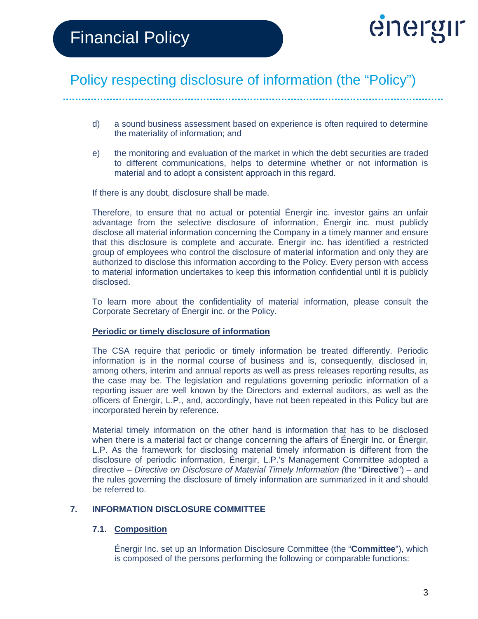

- d) a sound business assessment based on experience is often required to determine the materiality of information; and
- e) the monitoring and evaluation of the market in which the debt securities are traded to different communications, helps to determine whether or not information is material and to adopt a consistent approach in this regard.

If there is any doubt, disclosure shall be made.

Therefore, to ensure that no actual or potential Énergir inc. investor gains an unfair advantage from the selective disclosure of information, Énergir inc. must publicly disclose all material information concerning the Company in a timely manner and ensure that this disclosure is complete and accurate. Énergir inc. has identified a restricted group of employees who control the disclosure of material information and only they are authorized to disclose this information according to the Policy. Every person with access to material information undertakes to keep this information confidential until it is publicly disclosed.

To learn more about the confidentiality of material information, please consult the Corporate Secretary of Énergir inc. or the Policy.

#### **Periodic or timely disclosure of information**

The CSA require that periodic or timely information be treated differently. Periodic information is in the normal course of business and is, consequently, disclosed in, among others, interim and annual reports as well as press releases reporting results, as the case may be. The legislation and regulations governing periodic information of a reporting issuer are well known by the Directors and external auditors, as well as the officers of Énergir, L.P., and, accordingly, have not been repeated in this Policy but are incorporated herein by reference.

Material timely information on the other hand is information that has to be disclosed when there is a material fact or change concerning the affairs of Énergir Inc. or Énergir, L.P. As the framework for disclosing material timely information is different from the disclosure of periodic information, Énergir, L.P.'s Management Committee adopted a directive – *Directive on Disclosure of Material Timely Information (*the "**Directive**") – and the rules governing the disclosure of timely information are summarized in it and should be referred to.

#### **7. INFORMATION DISCLOSURE COMMITTEE**

#### **7.1. Composition**

Énergir Inc. set up an Information Disclosure Committee (the "**Committee**"), which is composed of the persons performing the following or comparable functions: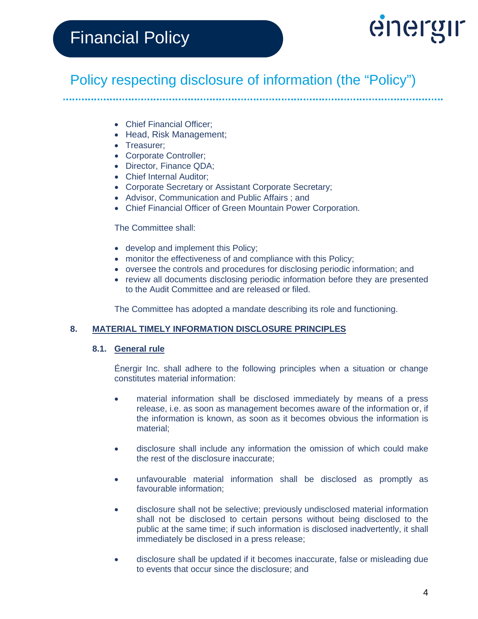# energir

# Policy respecting disclosure of information (the "Policy")

- Chief Financial Officer;
- Head, Risk Management;
- Treasurer;
- Corporate Controller;
- Director, Finance QDA;
- Chief Internal Auditor;
- Corporate Secretary or Assistant Corporate Secretary;
- Advisor, Communication and Public Affairs ; and
- Chief Financial Officer of Green Mountain Power Corporation.

#### The Committee shall:

- develop and implement this Policy;
- monitor the effectiveness of and compliance with this Policy;
- oversee the controls and procedures for disclosing periodic information; and
- review all documents disclosing periodic information before they are presented to the Audit Committee and are released or filed.

The Committee has adopted a mandate describing its role and functioning.

#### **8. MATERIAL TIMELY INFORMATION DISCLOSURE PRINCIPLES**

#### **8.1. General rule**

Énergir Inc. shall adhere to the following principles when a situation or change constitutes material information:

- material information shall be disclosed immediately by means of a press release, i.e. as soon as management becomes aware of the information or, if the information is known, as soon as it becomes obvious the information is material;
- disclosure shall include any information the omission of which could make the rest of the disclosure inaccurate;
- unfavourable material information shall be disclosed as promptly as favourable information;
- disclosure shall not be selective; previously undisclosed material information shall not be disclosed to certain persons without being disclosed to the public at the same time; if such information is disclosed inadvertently, it shall immediately be disclosed in a press release;
- disclosure shall be updated if it becomes inaccurate, false or misleading due to events that occur since the disclosure; and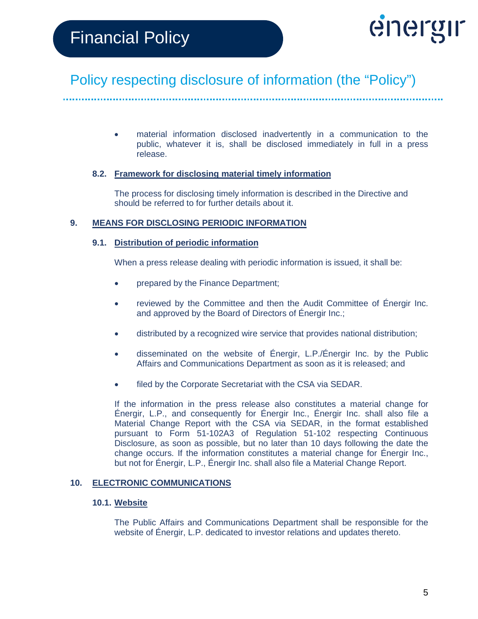

• material information disclosed inadvertently in a communication to the public, whatever it is, shall be disclosed immediately in full in a press release.

#### **8.2. Framework for disclosing material timely information**

The process for disclosing timely information is described in the Directive and should be referred to for further details about it.

#### **9. MEANS FOR DISCLOSING PERIODIC INFORMATION**

#### **9.1. Distribution of periodic information**

When a press release dealing with periodic information is issued, it shall be:

- prepared by the Finance Department;
- reviewed by the Committee and then the Audit Committee of Énergir Inc. and approved by the Board of Directors of Énergir Inc.;
- distributed by a recognized wire service that provides national distribution;
- disseminated on the website of Énergir, L.P./Énergir Inc. by the Public Affairs and Communications Department as soon as it is released; and
- filed by the Corporate Secretariat with the CSA via SEDAR.

If the information in the press release also constitutes a material change for Énergir, L.P., and consequently for Énergir Inc., Énergir Inc. shall also file a Material Change Report with the CSA via SEDAR, in the format established pursuant to Form 51-102A3 of Regulation 51-102 respecting Continuous Disclosure, as soon as possible, but no later than 10 days following the date the change occurs. If the information constitutes a material change for Énergir Inc., but not for Énergir, L.P., Énergir Inc. shall also file a Material Change Report.

#### **10. ELECTRONIC COMMUNICATIONS**

#### **10.1. Website**

The Public Affairs and Communications Department shall be responsible for the website of Énergir, L.P. dedicated to investor relations and updates thereto.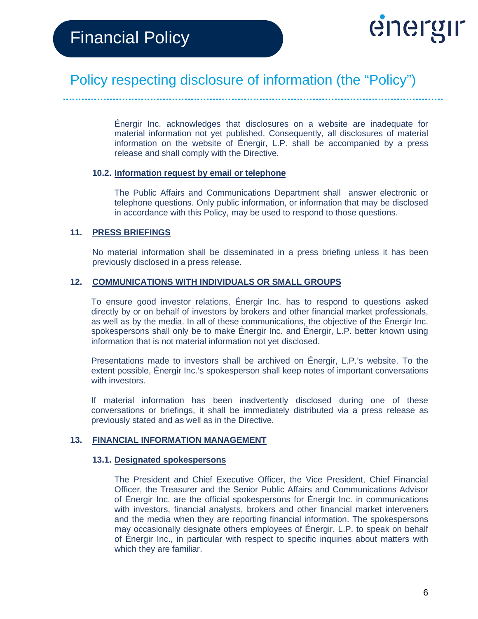

Énergir Inc. acknowledges that disclosures on a website are inadequate for material information not yet published. Consequently, all disclosures of material information on the website of Énergir, L.P. shall be accompanied by a press release and shall comply with the Directive.

#### **10.2. Information request by email or telephone**

The Public Affairs and Communications Department shall answer electronic or telephone questions. Only public information, or information that may be disclosed in accordance with this Policy, may be used to respond to those questions.

#### **11. PRESS BRIEFINGS**

No material information shall be disseminated in a press briefing unless it has been previously disclosed in a press release.

#### **12. COMMUNICATIONS WITH INDIVIDUALS OR SMALL GROUPS**

To ensure good investor relations, Énergir Inc. has to respond to questions asked directly by or on behalf of investors by brokers and other financial market professionals, as well as by the media. In all of these communications, the objective of the Énergir Inc. spokespersons shall only be to make Énergir Inc. and Énergir, L.P. better known using information that is not material information not yet disclosed.

Presentations made to investors shall be archived on Énergir, L.P.'s website. To the extent possible, Énergir Inc.'s spokesperson shall keep notes of important conversations with investors.

If material information has been inadvertently disclosed during one of these conversations or briefings, it shall be immediately distributed via a press release as previously stated and as well as in the Directive.

#### **13. FINANCIAL INFORMATION MANAGEMENT**

#### **13.1. Designated spokespersons**

The President and Chief Executive Officer, the Vice President, Chief Financial Officer, the Treasurer and the Senior Public Affairs and Communications Advisor of Énergir Inc. are the official spokespersons for Énergir Inc. in communications with investors, financial analysts, brokers and other financial market interveners and the media when they are reporting financial information. The spokespersons may occasionally designate others employees of Énergir, L.P. to speak on behalf of Énergir Inc., in particular with respect to specific inquiries about matters with which they are familiar.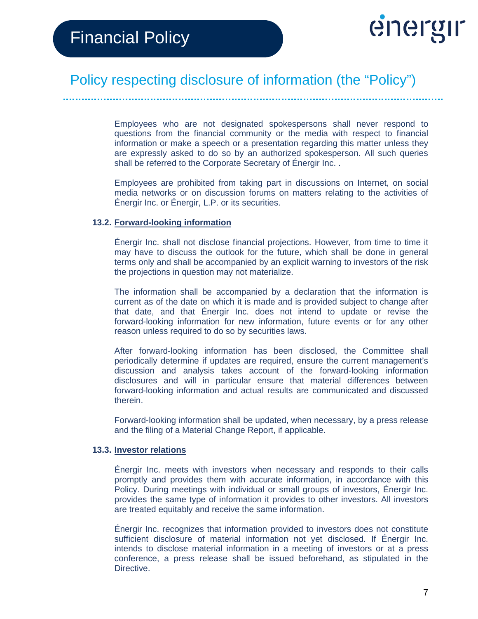

Employees who are not designated spokespersons shall never respond to questions from the financial community or the media with respect to financial information or make a speech or a presentation regarding this matter unless they are expressly asked to do so by an authorized spokesperson. All such queries shall be referred to the Corporate Secretary of Énergir Inc. .

Employees are prohibited from taking part in discussions on Internet, on social media networks or on discussion forums on matters relating to the activities of Énergir Inc. or Énergir, L.P. or its securities.

#### **13.2. Forward-looking information**

Énergir Inc. shall not disclose financial projections. However, from time to time it may have to discuss the outlook for the future, which shall be done in general terms only and shall be accompanied by an explicit warning to investors of the risk the projections in question may not materialize.

The information shall be accompanied by a declaration that the information is current as of the date on which it is made and is provided subject to change after that date, and that Énergir Inc. does not intend to update or revise the forward-looking information for new information, future events or for any other reason unless required to do so by securities laws.

After forward-looking information has been disclosed, the Committee shall periodically determine if updates are required, ensure the current management's discussion and analysis takes account of the forward-looking information disclosures and will in particular ensure that material differences between forward-looking information and actual results are communicated and discussed therein.

Forward-looking information shall be updated, when necessary, by a press release and the filing of a Material Change Report, if applicable.

#### **13.3. Investor relations**

Énergir Inc. meets with investors when necessary and responds to their calls promptly and provides them with accurate information, in accordance with this Policy. During meetings with individual or small groups of investors, Énergir Inc. provides the same type of information it provides to other investors. All investors are treated equitably and receive the same information.

Énergir Inc. recognizes that information provided to investors does not constitute sufficient disclosure of material information not yet disclosed. If Énergir Inc. intends to disclose material information in a meeting of investors or at a press conference, a press release shall be issued beforehand, as stipulated in the Directive.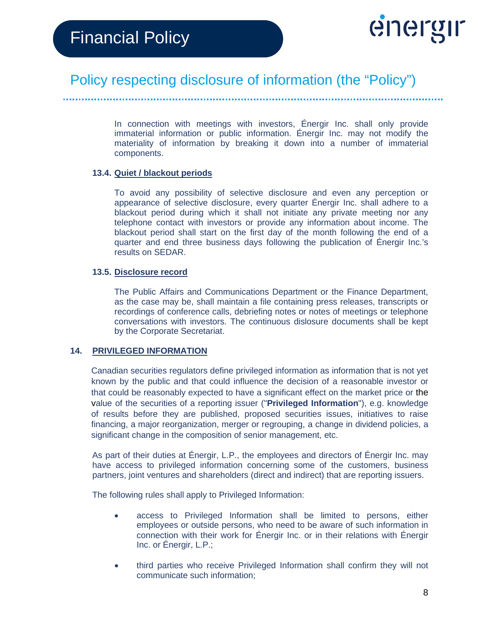

In connection with meetings with investors, Énergir Inc. shall only provide immaterial information or public information. Énergir Inc. may not modify the materiality of information by breaking it down into a number of immaterial components.

#### **13.4. Quiet / blackout periods**

To avoid any possibility of selective disclosure and even any perception or appearance of selective disclosure, every quarter Énergir Inc. shall adhere to a blackout period during which it shall not initiate any private meeting nor any telephone contact with investors or provide any information about income. The blackout period shall start on the first day of the month following the end of a quarter and end three business days following the publication of Énergir Inc.'s results on SEDAR.

#### **13.5. Disclosure record**

The Public Affairs and Communications Department or the Finance Department, as the case may be, shall maintain a file containing press releases, transcripts or recordings of conference calls, debriefing notes or notes of meetings or telephone conversations with investors. The continuous dislosure documents shall be kept by the Corporate Secretariat.

#### **14. PRIVILEGED INFORMATION**

Canadian securities regulators define privileged information as information that is not yet known by the public and that could influence the decision of a reasonable investor or that could be reasonably expected to have a significant effect on the market price or the value of the securities of a reporting issuer ("**Privileged Information**"), e.g. knowledge of results before they are published, proposed securities issues, initiatives to raise financing, a major reorganization, merger or regrouping, a change in dividend policies, a significant change in the composition of senior management, etc.

As part of their duties at Énergir, L.P., the employees and directors of Énergir Inc. may have access to privileged information concerning some of the customers, business partners, joint ventures and shareholders (direct and indirect) that are reporting issuers.

The following rules shall apply to Privileged Information:

- access to Privileged Information shall be limited to persons, either employees or outside persons, who need to be aware of such information in connection with their work for Énergir Inc. or in their relations with Énergir Inc. or Énergir, L.P.;
- third parties who receive Privileged Information shall confirm they will not communicate such information;